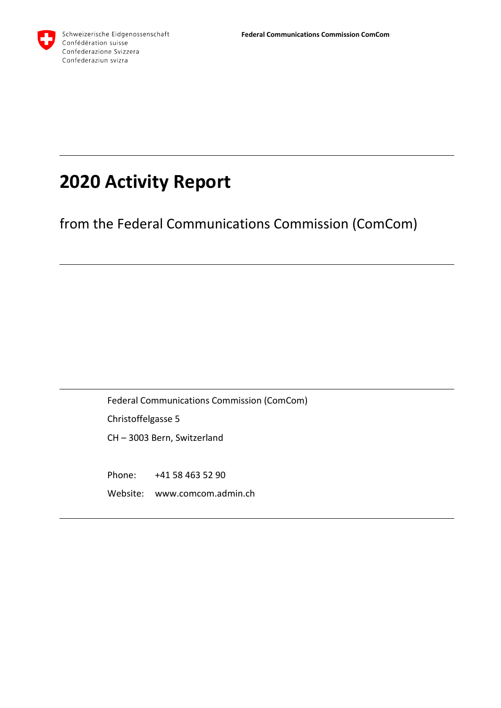

# **2020 Activity Report**

from the Federal Communications Commission (ComCom)

Federal Communications Commission (ComCom) Christoffelgasse 5 CH – 3003 Bern, Switzerland

Phone: +41 58 463 52 90 Website: www.comcom.admin.ch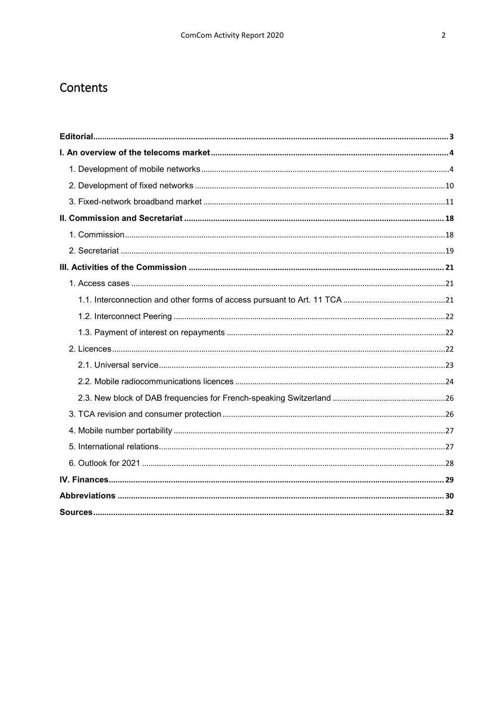# Contents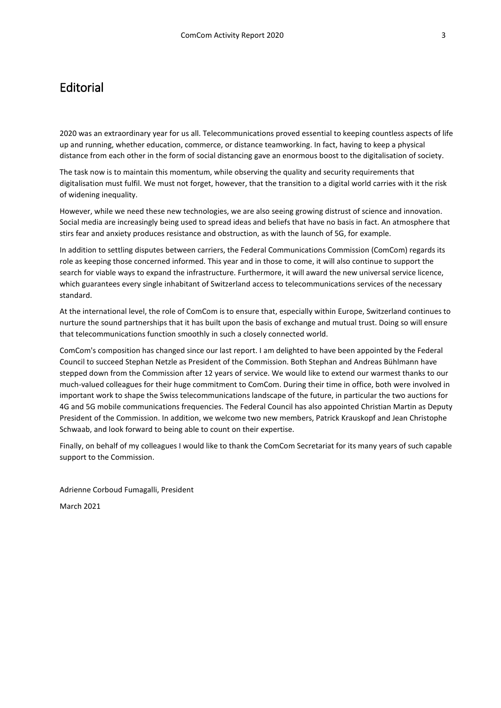# <span id="page-2-0"></span>**Editorial**

2020 was an extraordinary year for us all. Telecommunications proved essential to keeping countless aspects of life up and running, whether education, commerce, or distance teamworking. In fact, having to keep a physical distance from each other in the form of social distancing gave an enormous boost to the digitalisation of society.

The task now is to maintain this momentum, while observing the quality and security requirements that digitalisation must fulfil. We must not forget, however, that the transition to a digital world carries with it the risk of widening inequality.

However, while we need these new technologies, we are also seeing growing distrust of science and innovation. Social media are increasingly being used to spread ideas and beliefs that have no basis in fact. An atmosphere that stirs fear and anxiety produces resistance and obstruction, as with the launch of 5G, for example.

In addition to settling disputes between carriers, the Federal Communications Commission (ComCom) regards its role as keeping those concerned informed. This year and in those to come, it will also continue to support the search for viable ways to expand the infrastructure. Furthermore, it will award the new universal service licence, which guarantees every single inhabitant of Switzerland access to telecommunications services of the necessary standard.

At the international level, the role of ComCom is to ensure that, especially within Europe, Switzerland continues to nurture the sound partnerships that it has built upon the basis of exchange and mutual trust. Doing so will ensure that telecommunications function smoothly in such a closely connected world.

ComCom's composition has changed since our last report. I am delighted to have been appointed by the Federal Council to succeed Stephan Netzle as President of the Commission. Both Stephan and Andreas Bühlmann have stepped down from the Commission after 12 years of service. We would like to extend our warmest thanks to our much-valued colleagues for their huge commitment to ComCom. During their time in office, both were involved in important work to shape the Swiss telecommunications landscape of the future, in particular the two auctions for 4G and 5G mobile communications frequencies. The Federal Council has also appointed Christian Martin as Deputy President of the Commission. In addition, we welcome two new members, Patrick Krauskopf and Jean Christophe Schwaab, and look forward to being able to count on their expertise.

Finally, on behalf of my colleagues I would like to thank the ComCom Secretariat for its many years of such capable support to the Commission.

Adrienne Corboud Fumagalli, President

March 2021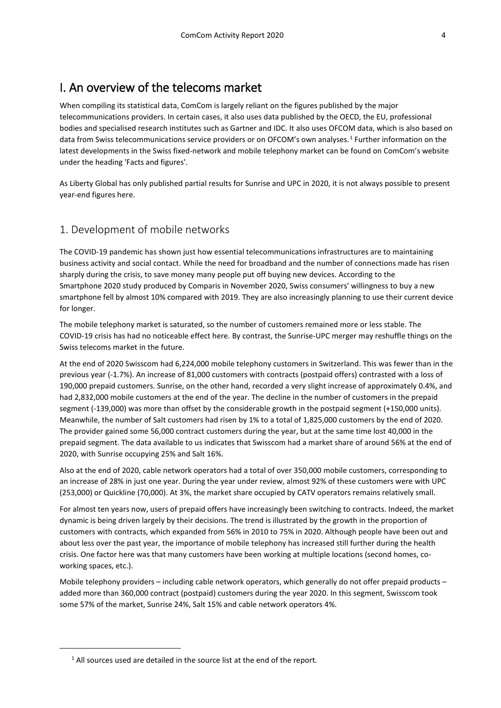# <span id="page-3-0"></span>I. An overview of the telecoms market

When compiling its statistical data, ComCom is largely reliant on the figures published by the major telecommunications providers. In certain cases, it also uses data published by the OECD, the EU, professional bodies and specialised research institutes such as Gartner and IDC. It also uses OFCOM data, which is also based on data from Swiss telecommunications service providers or on OFCOM's own analyses.<sup>[1](#page-3-2)</sup> Further information on the latest developments in the Swiss fixed-network and mobile telephony market can be found on ComCom's website under the heading 'Facts and figures'.

As Liberty Global has only published partial results for Sunrise and UPC in 2020, it is not always possible to present year-end figures here.

### <span id="page-3-1"></span>1. Development of mobile networks

The COVID-19 pandemic has shown just how essential telecommunications infrastructures are to maintaining business activity and social contact. While the need for broadband and the number of connections made has risen sharply during the crisis, to save money many people put off buying new devices. According to the Smartphone 2020 study produced by Comparis in November 2020, Swiss consumers' willingness to buy a new smartphone fell by almost 10% compared with 2019. They are also increasingly planning to use their current device for longer.

The mobile telephony market is saturated, so the number of customers remained more or less stable. The COVID-19 crisis has had no noticeable effect here. By contrast, the Sunrise-UPC merger may reshuffle things on the Swiss telecoms market in the future.

At the end of 2020 Swisscom had 6,224,000 mobile telephony customers in Switzerland. This was fewer than in the previous year (-1.7%). An increase of 81,000 customers with contracts (postpaid offers) contrasted with a loss of 190,000 prepaid customers. Sunrise, on the other hand, recorded a very slight increase of approximately 0.4%, and had 2,832,000 mobile customers at the end of the year. The decline in the number of customers in the prepaid segment (-139,000) was more than offset by the considerable growth in the postpaid segment (+150,000 units). Meanwhile, the number of Salt customers had risen by 1% to a total of 1,825,000 customers by the end of 2020. The provider gained some 56,000 contract customers during the year, but at the same time lost 40,000 in the prepaid segment. The data available to us indicates that Swisscom had a market share of around 56% at the end of 2020, with Sunrise occupying 25% and Salt 16%.

Also at the end of 2020, cable network operators had a total of over 350,000 mobile customers, corresponding to an increase of 28% in just one year. During the year under review, almost 92% of these customers were with UPC (253,000) or Quickline (70,000). At 3%, the market share occupied by CATV operators remains relatively small.

For almost ten years now, users of prepaid offers have increasingly been switching to contracts. Indeed, the market dynamic is being driven largely by their decisions. The trend is illustrated by the growth in the proportion of customers with contracts, which expanded from 56% in 2010 to 75% in 2020. Although people have been out and about less over the past year, the importance of mobile telephony has increased still further during the health crisis. One factor here was that many customers have been working at multiple locations (second homes, coworking spaces, etc.).

Mobile telephony providers – including cable network operators, which generally do not offer prepaid products – added more than 360,000 contract (postpaid) customers during the year 2020. In this segment, Swisscom took some 57% of the market, Sunrise 24%, Salt 15% and cable network operators 4%.

<span id="page-3-2"></span>1

 $1$  All sources used are detailed in the source list at the end of the report.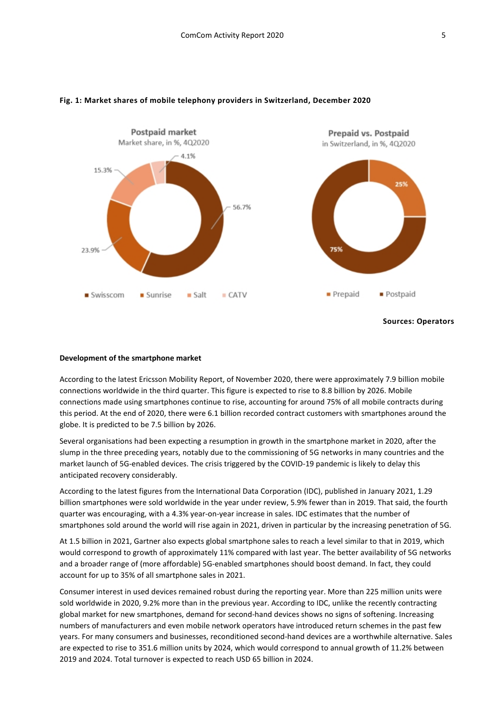

#### **Fig. 1: Market shares of mobile telephony providers in Switzerland, December 2020**

#### **Development of the smartphone market**

According to the latest Ericsson Mobility Report, of November 2020, there were approximately 7.9 billion mobile connections worldwide in the third quarter. This figure is expected to rise to 8.8 billion by 2026. Mobile connections made using smartphones continue to rise, accounting for around 75% of all mobile contracts during this period. At the end of 2020, there were 6.1 billion recorded contract customers with smartphones around the globe. It is predicted to be 7.5 billion by 2026.

Several organisations had been expecting a resumption in growth in the smartphone market in 2020, after the slump in the three preceding years, notably due to the commissioning of 5G networks in many countries and the market launch of 5G-enabled devices. The crisis triggered by the COVID-19 pandemic is likely to delay this anticipated recovery considerably.

According to the latest figures from the International Data Corporation (IDC), published in January 2021, 1.29 billion smartphones were sold worldwide in the year under review, 5.9% fewer than in 2019. That said, the fourth quarter was encouraging, with a 4.3% year-on-year increase in sales. IDC estimates that the number of smartphones sold around the world will rise again in 2021, driven in particular by the increasing penetration of 5G.

At 1.5 billion in 2021, Gartner also expects global smartphone sales to reach a level similar to that in 2019, which would correspond to growth of approximately 11% compared with last year. The better availability of 5G networks and a broader range of (more affordable) 5G-enabled smartphones should boost demand. In fact, they could account for up to 35% of all smartphone sales in 2021.

Consumer interest in used devices remained robust during the reporting year. More than 225 million units were sold worldwide in 2020, 9.2% more than in the previous year. According to IDC, unlike the recently contracting global market for new smartphones, demand for second-hand devices shows no signs of softening. Increasing numbers of manufacturers and even mobile network operators have introduced return schemes in the past few years. For many consumers and businesses, reconditioned second-hand devices are a worthwhile alternative. Sales are expected to rise to 351.6 million units by 2024, which would correspond to annual growth of 11.2% between 2019 and 2024. Total turnover is expected to reach USD 65 billion in 2024.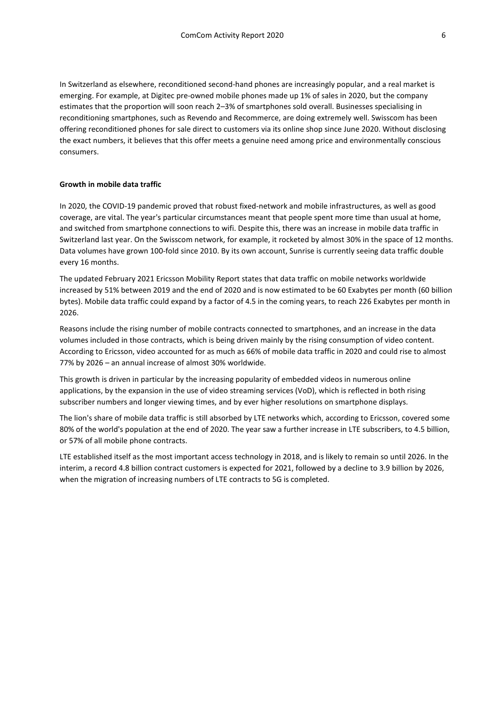In Switzerland as elsewhere, reconditioned second-hand phones are increasingly popular, and a real market is emerging. For example, at Digitec pre-owned mobile phones made up 1% of sales in 2020, but the company estimates that the proportion will soon reach 2–3% of smartphones sold overall. Businesses specialising in reconditioning smartphones, such as Revendo and Recommerce, are doing extremely well. Swisscom has been offering reconditioned phones for sale direct to customers via its online shop since June 2020. Without disclosing the exact numbers, it believes that this offer meets a genuine need among price and environmentally conscious consumers.

#### **Growth in mobile data traffic**

In 2020, the COVID-19 pandemic proved that robust fixed-network and mobile infrastructures, as well as good coverage, are vital. The year's particular circumstances meant that people spent more time than usual at home, and switched from smartphone connections to wifi. Despite this, there was an increase in mobile data traffic in Switzerland last year. On the Swisscom network, for example, it rocketed by almost 30% in the space of 12 months. Data volumes have grown 100-fold since 2010. By its own account, Sunrise is currently seeing data traffic double every 16 months.

The updated February 2021 Ericsson Mobility Report states that data traffic on mobile networks worldwide increased by 51% between 2019 and the end of 2020 and is now estimated to be 60 Exabytes per month (60 billion bytes). Mobile data traffic could expand by a factor of 4.5 in the coming years, to reach 226 Exabytes per month in 2026.

Reasons include the rising number of mobile contracts connected to smartphones, and an increase in the data volumes included in those contracts, which is being driven mainly by the rising consumption of video content. According to Ericsson, video accounted for as much as 66% of mobile data traffic in 2020 and could rise to almost 77% by 2026 – an annual increase of almost 30% worldwide.

This growth is driven in particular by the increasing popularity of embedded videos in numerous online applications, by the expansion in the use of video streaming services (VoD), which is reflected in both rising subscriber numbers and longer viewing times, and by ever higher resolutions on smartphone displays.

The lion's share of mobile data traffic is still absorbed by LTE networks which, according to Ericsson, covered some 80% of the world's population at the end of 2020. The year saw a further increase in LTE subscribers, to 4.5 billion, or 57% of all mobile phone contracts.

LTE established itself as the most important access technology in 2018, and is likely to remain so until 2026. In the interim, a record 4.8 billion contract customers is expected for 2021, followed by a decline to 3.9 billion by 2026, when the migration of increasing numbers of LTE contracts to 5G is completed.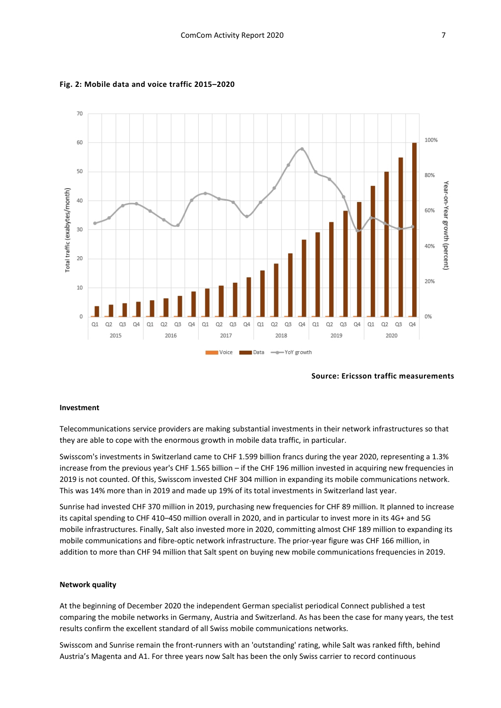

#### **Fig. 2: Mobile data and voice traffic 2015–2020**

**Source: Ericsson traffic measurements**

#### **Investment**

Telecommunications service providers are making substantial investments in their network infrastructures so that they are able to cope with the enormous growth in mobile data traffic, in particular.

Swisscom's investments in Switzerland came to CHF 1.599 billion francs during the year 2020, representing a 1.3% increase from the previous year's CHF 1.565 billion – if the CHF 196 million invested in acquiring new frequencies in 2019 is not counted. Of this, Swisscom invested CHF 304 million in expanding its mobile communications network. This was 14% more than in 2019 and made up 19% of its total investments in Switzerland last year.

Sunrise had invested CHF 370 million in 2019, purchasing new frequencies for CHF 89 million. It planned to increase its capital spending to CHF 410–450 million overall in 2020, and in particular to invest more in its 4G+ and 5G mobile infrastructures. Finally, Salt also invested more in 2020, committing almost CHF 189 million to expanding its mobile communications and fibre-optic network infrastructure. The prior-year figure was CHF 166 million, in addition to more than CHF 94 million that Salt spent on buying new mobile communications frequencies in 2019.

#### **Network quality**

At the beginning of December 2020 the independent German specialist periodical Connect published a test comparing the mobile networks in Germany, Austria and Switzerland. As has been the case for many years, the test results confirm the excellent standard of all Swiss mobile communications networks.

Swisscom and Sunrise remain the front-runners with an 'outstanding' rating, while Salt was ranked fifth, behind Austria's Magenta and A1. For three years now Salt has been the only Swiss carrier to record continuous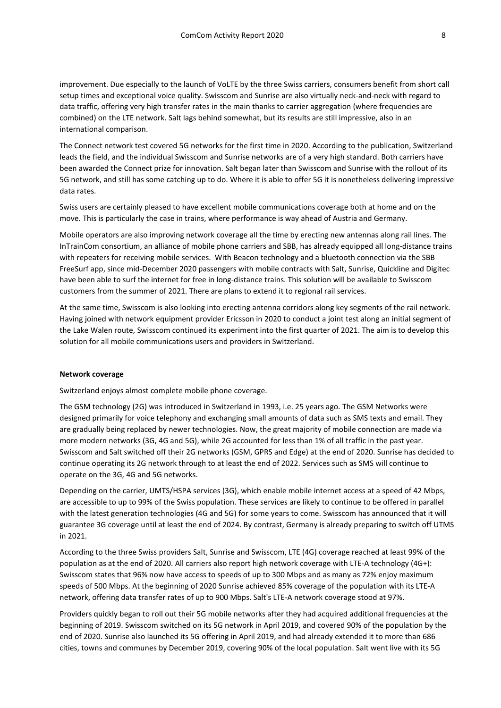improvement. Due especially to the launch of VoLTE by the three Swiss carriers, consumers benefit from short call setup times and exceptional voice quality. Swisscom and Sunrise are also virtually neck-and-neck with regard to data traffic, offering very high transfer rates in the main thanks to carrier aggregation (where frequencies are combined) on the LTE network. Salt lags behind somewhat, but its results are still impressive, also in an international comparison.

The Connect network test covered 5G networks for the first time in 2020. According to the publication, Switzerland leads the field, and the individual Swisscom and Sunrise networks are of a very high standard. Both carriers have been awarded the Connect prize for innovation. Salt began later than Swisscom and Sunrise with the rollout of its 5G network, and still has some catching up to do. Where it is able to offer 5G it is nonetheless delivering impressive data rates.

Swiss users are certainly pleased to have excellent mobile communications coverage both at home and on the move. This is particularly the case in trains, where performance is way ahead of Austria and Germany.

Mobile operators are also improving network coverage all the time by erecting new antennas along rail lines. The InTrainCom consortium, an alliance of mobile phone carriers and SBB, has already equipped all long-distance trains with repeaters for receiving mobile services. With Beacon technology and a bluetooth connection via the SBB FreeSurf app, since mid-December 2020 passengers with mobile contracts with Salt, Sunrise, Quickline and Digitec have been able to surf the internet for free in long-distance trains. This solution will be available to Swisscom customers from the summer of 2021. There are plans to extend it to regional rail services.

At the same time, Swisscom is also looking into erecting antenna corridors along key segments of the rail network. Having joined with network equipment provider Ericsson in 2020 to conduct a joint test along an initial segment of the Lake Walen route, Swisscom continued its experiment into the first quarter of 2021. The aim is to develop this solution for all mobile communications users and providers in Switzerland.

#### **Network coverage**

Switzerland enjoys almost complete mobile phone coverage.

The GSM technology (2G) was introduced in Switzerland in 1993, i.e. 25 years ago. The GSM Networks were designed primarily for voice telephony and exchanging small amounts of data such as SMS texts and email. They are gradually being replaced by newer technologies. Now, the great majority of mobile connection are made via more modern networks (3G, 4G and 5G), while 2G accounted for less than 1% of all traffic in the past year. Swisscom and Salt switched off their 2G networks (GSM, GPRS and Edge) at the end of 2020. Sunrise has decided to continue operating its 2G network through to at least the end of 2022. Services such as SMS will continue to operate on the 3G, 4G and 5G networks.

Depending on the carrier, UMTS/HSPA services (3G), which enable mobile internet access at a speed of 42 Mbps, are accessible to up to 99% of the Swiss population. These services are likely to continue to be offered in parallel with the latest generation technologies (4G and 5G) for some years to come. Swisscom has announced that it will guarantee 3G coverage until at least the end of 2024. By contrast, Germany is already preparing to switch off UTMS in 2021.

According to the three Swiss providers Salt, Sunrise and Swisscom, LTE (4G) coverage reached at least 99% of the population as at the end of 2020. All carriers also report high network coverage with LTE-A technology (4G+): Swisscom states that 96% now have access to speeds of up to 300 Mbps and as many as 72% enjoy maximum speeds of 500 Mbps. At the beginning of 2020 Sunrise achieved 85% coverage of the population with its LTE-A network, offering data transfer rates of up to 900 Mbps. Salt's LTE-A network coverage stood at 97%.

Providers quickly began to roll out their 5G mobile networks after they had acquired additional frequencies at the beginning of 2019. Swisscom switched on its 5G network in April 2019, and covered 90% of the population by the end of 2020. Sunrise also launched its 5G offering in April 2019, and had already extended it to more than 686 cities, towns and communes by December 2019, covering 90% of the local population. Salt went live with its 5G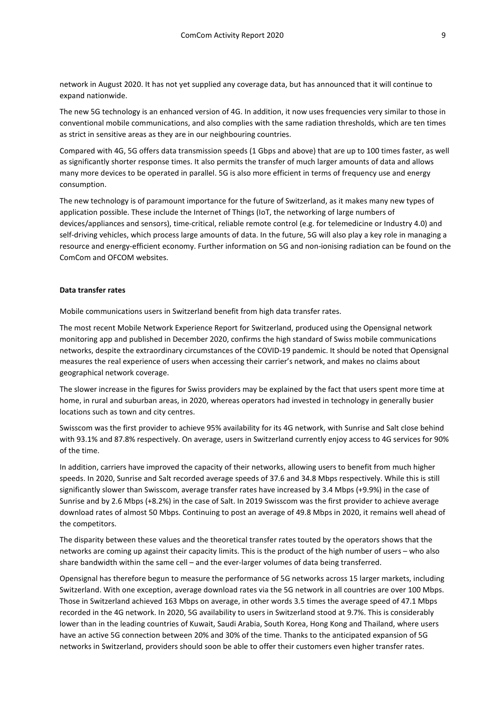network in August 2020. It has not yet supplied any coverage data, but has announced that it will continue to expand nationwide.

The new 5G technology is an enhanced version of 4G. In addition, it now uses frequencies very similar to those in conventional mobile communications, and also complies with the same radiation thresholds, which are ten times as strict in sensitive areas as they are in our neighbouring countries.

Compared with 4G, 5G offers data transmission speeds (1 Gbps and above) that are up to 100 times faster, as well as significantly shorter response times. It also permits the transfer of much larger amounts of data and allows many more devices to be operated in parallel. 5G is also more efficient in terms of frequency use and energy consumption.

The new technology is of paramount importance for the future of Switzerland, as it makes many new types of application possible. These include the Internet of Things (IoT, the networking of large numbers of devices/appliances and sensors), time-critical, reliable remote control (e.g. for telemedicine or Industry 4.0) and self-driving vehicles, which process large amounts of data. In the future, 5G will also play a key role in managing a resource and energy-efficient economy. Further information on 5G and non-ionising radiation can be found on the ComCom and OFCOM websites.

#### **Data transfer rates**

Mobile communications users in Switzerland benefit from high data transfer rates.

The most recent Mobile Network Experience Report for Switzerland, produced using the Opensignal network monitoring app and published in December 2020, confirms the high standard of Swiss mobile communications networks, despite the extraordinary circumstances of the COVID-19 pandemic. It should be noted that Opensignal measures the real experience of users when accessing their carrier's network, and makes no claims about geographical network coverage.

The slower increase in the figures for Swiss providers may be explained by the fact that users spent more time at home, in rural and suburban areas, in 2020, whereas operators had invested in technology in generally busier locations such as town and city centres.

Swisscom was the first provider to achieve 95% availability for its 4G network, with Sunrise and Salt close behind with 93.1% and 87.8% respectively. On average, users in Switzerland currently enjoy access to 4G services for 90% of the time.

In addition, carriers have improved the capacity of their networks, allowing users to benefit from much higher speeds. In 2020, Sunrise and Salt recorded average speeds of 37.6 and 34.8 Mbps respectively. While this is still significantly slower than Swisscom, average transfer rates have increased by 3.4 Mbps (+9.9%) in the case of Sunrise and by 2.6 Mbps (+8.2%) in the case of Salt. In 2019 Swisscom was the first provider to achieve average download rates of almost 50 Mbps. Continuing to post an average of 49.8 Mbps in 2020, it remains well ahead of the competitors.

The disparity between these values and the theoretical transfer rates touted by the operators shows that the networks are coming up against their capacity limits. This is the product of the high number of users – who also share bandwidth within the same cell – and the ever-larger volumes of data being transferred.

Opensignal has therefore begun to measure the performance of 5G networks across 15 larger markets, including Switzerland. With one exception, average download rates via the 5G network in all countries are over 100 Mbps. Those in Switzerland achieved 163 Mbps on average, in other words 3.5 times the average speed of 47.1 Mbps recorded in the 4G network. In 2020, 5G availability to users in Switzerland stood at 9.7%. This is considerably lower than in the leading countries of Kuwait, Saudi Arabia, South Korea, Hong Kong and Thailand, where users have an active 5G connection between 20% and 30% of the time. Thanks to the anticipated expansion of 5G networks in Switzerland, providers should soon be able to offer their customers even higher transfer rates.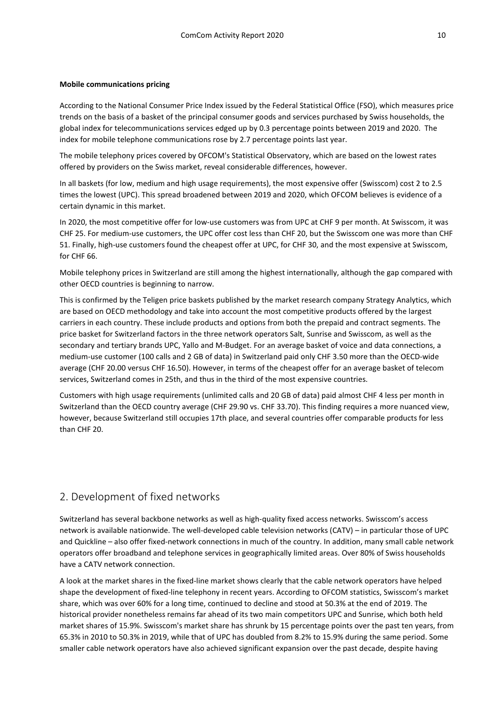#### **Mobile communications pricing**

According to the National Consumer Price Index issued by the Federal Statistical Office (FSO), which measures price trends on the basis of a basket of the principal consumer goods and services purchased by Swiss households, the global index for telecommunications services edged up by 0.3 percentage points between 2019 and 2020. The index for mobile telephone communications rose by 2.7 percentage points last year.

The mobile telephony prices covered by OFCOM's Statistical Observatory, which are based on the lowest rates offered by providers on the Swiss market, reveal considerable differences, however.

In all baskets (for low, medium and high usage requirements), the most expensive offer (Swisscom) cost 2 to 2.5 times the lowest (UPC). This spread broadened between 2019 and 2020, which OFCOM believes is evidence of a certain dynamic in this market.

In 2020, the most competitive offer for low-use customers was from UPC at CHF 9 per month. At Swisscom, it was CHF 25. For medium-use customers, the UPC offer cost less than CHF 20, but the Swisscom one was more than CHF 51. Finally, high-use customers found the cheapest offer at UPC, for CHF 30, and the most expensive at Swisscom, for CHF 66.

Mobile telephony prices in Switzerland are still among the highest internationally, although the gap compared with other OECD countries is beginning to narrow.

This is confirmed by the Teligen price baskets published by the market research company Strategy Analytics, which are based on OECD methodology and take into account the most competitive products offered by the largest carriers in each country. These include products and options from both the prepaid and contract segments. The price basket for Switzerland factors in the three network operators Salt, Sunrise and Swisscom, as well as the secondary and tertiary brands UPC, Yallo and M-Budget. For an average basket of voice and data connections, a medium-use customer (100 calls and 2 GB of data) in Switzerland paid only CHF 3.50 more than the OECD-wide average (CHF 20.00 versus CHF 16.50). However, in terms of the cheapest offer for an average basket of telecom services, Switzerland comes in 25th, and thus in the third of the most expensive countries.

Customers with high usage requirements (unlimited calls and 20 GB of data) paid almost CHF 4 less per month in Switzerland than the OECD country average (CHF 29.90 vs. CHF 33.70). This finding requires a more nuanced view, however, because Switzerland still occupies 17th place, and several countries offer comparable products for less than CHF 20.

### <span id="page-9-0"></span>2. Development of fixed networks

Switzerland has several backbone networks as well as high-quality fixed access networks. Swisscom's access network is available nationwide. The well-developed cable television networks (CATV) – in particular those of UPC and Quickline – also offer fixed-network connections in much of the country. In addition, many small cable network operators offer broadband and telephone services in geographically limited areas. Over 80% of Swiss households have a CATV network connection.

A look at the market shares in the fixed-line market shows clearly that the cable network operators have helped shape the development of fixed-line telephony in recent years. According to OFCOM statistics, Swisscom's market share, which was over 60% for a long time, continued to decline and stood at 50.3% at the end of 2019. The historical provider nonetheless remains far ahead of its two main competitors UPC and Sunrise, which both held market shares of 15.9%. Swisscom's market share has shrunk by 15 percentage points over the past ten years, from 65.3% in 2010 to 50.3% in 2019, while that of UPC has doubled from 8.2% to 15.9% during the same period. Some smaller cable network operators have also achieved significant expansion over the past decade, despite having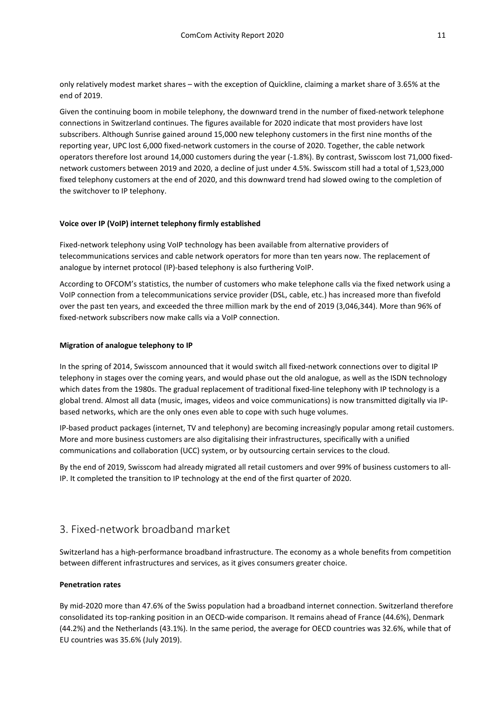only relatively modest market shares – with the exception of Quickline, claiming a market share of 3.65% at the end of 2019.

Given the continuing boom in mobile telephony, the downward trend in the number of fixed-network telephone connections in Switzerland continues. The figures available for 2020 indicate that most providers have lost subscribers. Although Sunrise gained around 15,000 new telephony customers in the first nine months of the reporting year, UPC lost 6,000 fixed-network customers in the course of 2020. Together, the cable network operators therefore lost around 14,000 customers during the year (-1.8%). By contrast, Swisscom lost 71,000 fixednetwork customers between 2019 and 2020, a decline of just under 4.5%. Swisscom still had a total of 1,523,000 fixed telephony customers at the end of 2020, and this downward trend had slowed owing to the completion of the switchover to IP telephony.

### **Voice over IP (VoIP) internet telephony firmly established**

Fixed-network telephony using VoIP technology has been available from alternative providers of telecommunications services and cable network operators for more than ten years now. The replacement of analogue by internet protocol (IP)-based telephony is also furthering VoIP.

According to OFCOM's statistics, the number of customers who make telephone calls via the fixed network using a VoIP connection from a telecommunications service provider (DSL, cable, etc.) has increased more than fivefold over the past ten years, and exceeded the three million mark by the end of 2019 (3,046,344). More than 96% of fixed-network subscribers now make calls via a VoIP connection.

### **Migration of analogue telephony to IP**

In the spring of 2014, Swisscom announced that it would switch all fixed-network connections over to digital IP telephony in stages over the coming years, and would phase out the old analogue, as well as the ISDN technology which dates from the 1980s. The gradual replacement of traditional fixed-line telephony with IP technology is a global trend. Almost all data (music, images, videos and voice communications) is now transmitted digitally via IPbased networks, which are the only ones even able to cope with such huge volumes.

IP-based product packages (internet, TV and telephony) are becoming increasingly popular among retail customers. More and more business customers are also digitalising their infrastructures, specifically with a unified communications and collaboration (UCC) system, or by outsourcing certain services to the cloud.

By the end of 2019, Swisscom had already migrated all retail customers and over 99% of business customers to all-IP. It completed the transition to IP technology at the end of the first quarter of 2020.

### <span id="page-10-0"></span>3. Fixed-network broadband market

Switzerland has a high-performance broadband infrastructure. The economy as a whole benefits from competition between different infrastructures and services, as it gives consumers greater choice.

### **Penetration rates**

By mid-2020 more than 47.6% of the Swiss population had a broadband internet connection. Switzerland therefore consolidated its top-ranking position in an OECD-wide comparison. It remains ahead of France (44.6%), Denmark (44.2%) and the Netherlands (43.1%). In the same period, the average for OECD countries was 32.6%, while that of EU countries was 35.6% (July 2019).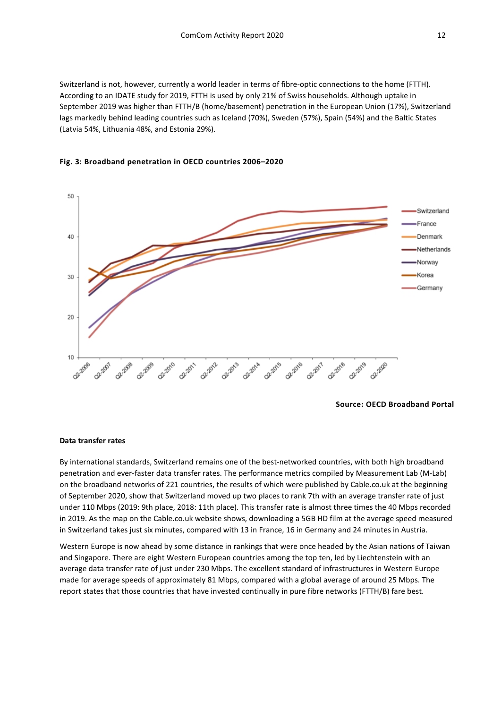Switzerland is not, however, currently a world leader in terms of fibre-optic connections to the home (FTTH). According to an IDATE study for 2019, FTTH is used by only 21% of Swiss households. Although uptake in September 2019 was higher than FTTH/B (home/basement) penetration in the European Union (17%), Switzerland lags markedly behind leading countries such as Iceland (70%), Sweden (57%), Spain (54%) and the Baltic States (Latvia 54%, Lithuania 48%, and Estonia 29%).



### **Fig. 3: Broadband penetration in OECD countries 2006–2020**

**Source: OECD Broadband Portal** 

#### **Data transfer rates**

By international standards, Switzerland remains one of the best-networked countries, with both high broadband penetration and ever-faster data transfer rates. The performance metrics compiled by Measurement Lab (M-Lab) on the broadband networks of 221 countries, the results of which were published by Cable.co.uk at the beginning of September 2020, show that Switzerland moved up two places to rank 7th with an average transfer rate of just under 110 Mbps (2019: 9th place, 2018: 11th place). This transfer rate is almost three times the 40 Mbps recorded in 2019. As the map on the Cable.co.uk website shows, downloading a 5GB HD film at the average speed measured in Switzerland takes just six minutes, compared with 13 in France, 16 in Germany and 24 minutes in Austria.

Western Europe is now ahead by some distance in rankings that were once headed by the Asian nations of Taiwan and Singapore. There are eight Western European countries among the top ten, led by Liechtenstein with an average data transfer rate of just under 230 Mbps. The excellent standard of infrastructures in Western Europe made for average speeds of approximately 81 Mbps, compared with a global average of around 25 Mbps. The report states that those countries that have invested continually in pure fibre networks (FTTH/B) fare best.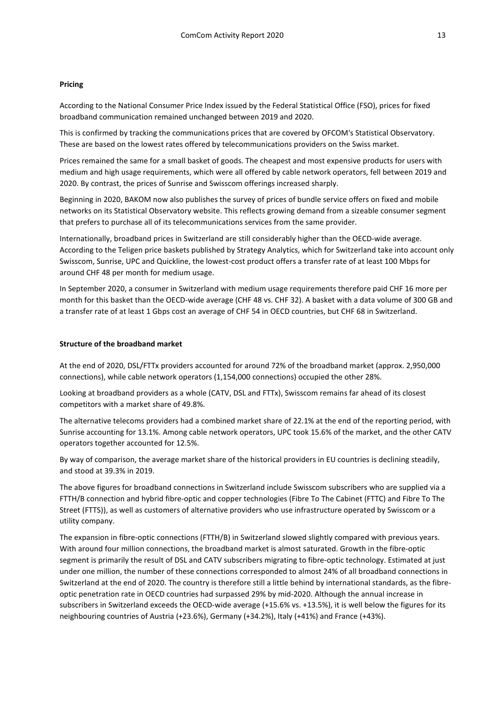### **Pricing**

According to the National Consumer Price Index issued by the Federal Statistical Office (FSO), prices for fixed broadband communication remained unchanged between 2019 and 2020.

This is confirmed by tracking the communications prices that are covered by OFCOM's Statistical Observatory. These are based on the lowest rates offered by telecommunications providers on the Swiss market.

Prices remained the same for a small basket of goods. The cheapest and most expensive products for users with medium and high usage requirements, which were all offered by cable network operators, fell between 2019 and 2020. By contrast, the prices of Sunrise and Swisscom offerings increased sharply.

Beginning in 2020, BAKOM now also publishes the survey of prices of bundle service offers on fixed and mobile networks on its Statistical Observatory website. This reflects growing demand from a sizeable consumer segment that prefers to purchase all of its telecommunications services from the same provider.

Internationally, broadband prices in Switzerland are still considerably higher than the OECD-wide average. According to the Teligen price baskets published by Strategy Analytics, which for Switzerland take into account only Swisscom, Sunrise, UPC and Quickline, the lowest-cost product offers a transfer rate of at least 100 Mbps for around CHF 48 per month for medium usage.

In September 2020, a consumer in Switzerland with medium usage requirements therefore paid CHF 16 more per month for this basket than the OECD-wide average (CHF 48 vs. CHF 32). A basket with a data volume of 300 GB and a transfer rate of at least 1 Gbps cost an average of CHF 54 in OECD countries, but CHF 68 in Switzerland.

#### **Structure of the broadband market**

At the end of 2020, DSL/FTTx providers accounted for around 72% of the broadband market (approx. 2,950,000 connections), while cable network operators (1,154,000 connections) occupied the other 28%.

Looking at broadband providers as a whole (CATV, DSL and FTTx), Swisscom remains far ahead of its closest competitors with a market share of 49.8%.

The alternative telecoms providers had a combined market share of 22.1% at the end of the reporting period, with Sunrise accounting for 13.1%. Among cable network operators, UPC took 15.6% of the market, and the other CATV operators together accounted for 12.5%.

By way of comparison, the average market share of the historical providers in EU countries is declining steadily, and stood at 39.3% in 2019.

The above figures for broadband connections in Switzerland include Swisscom subscribers who are supplied via a FTTH/B connection and hybrid fibre-optic and copper technologies (Fibre To The Cabinet (FTTC) and Fibre To The Street (FTTS)), as well as customers of alternative providers who use infrastructure operated by Swisscom or a utility company.

The expansion in fibre-optic connections (FTTH/B) in Switzerland slowed slightly compared with previous years. With around four million connections, the broadband market is almost saturated. Growth in the fibre-optic segment is primarily the result of DSL and CATV subscribers migrating to fibre-optic technology. Estimated at just under one million, the number of these connections corresponded to almost 24% of all broadband connections in Switzerland at the end of 2020. The country is therefore still a little behind by international standards, as the fibreoptic penetration rate in OECD countries had surpassed 29% by mid-2020. Although the annual increase in subscribers in Switzerland exceeds the OECD-wide average (+15.6% vs. +13.5%), it is well below the figures for its neighbouring countries of Austria (+23.6%), Germany (+34.2%), Italy (+41%) and France (+43%).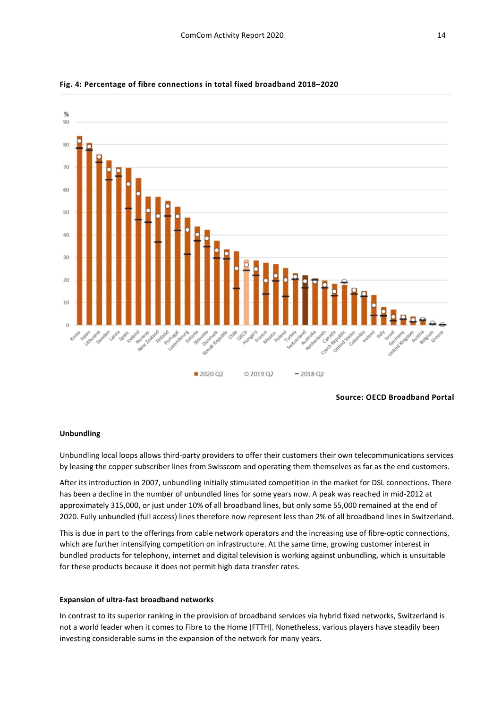

### **Fig. 4: Percentage of fibre connections in total fixed broadband 2018–2020**

**Source: OECD Broadband Portal**

### **Unbundling**

Unbundling local loops allows third-party providers to offer their customers their own telecommunications services by leasing the copper subscriber lines from Swisscom and operating them themselves as far as the end customers.

After its introduction in 2007, unbundling initially stimulated competition in the market for DSL connections. There has been a decline in the number of unbundled lines for some years now. A peak was reached in mid-2012 at approximately 315,000, or just under 10% of all broadband lines, but only some 55,000 remained at the end of 2020. Fully unbundled (full access) lines therefore now represent less than 2% of all broadband lines in Switzerland.

This is due in part to the offerings from cable network operators and the increasing use of fibre-optic connections, which are further intensifying competition on infrastructure. At the same time, growing customer interest in bundled products for telephony, internet and digital television is working against unbundling, which is unsuitable for these products because it does not permit high data transfer rates.

#### **Expansion of ultra-fast broadband networks**

In contrast to its superior ranking in the provision of broadband services via hybrid fixed networks, Switzerland is not a world leader when it comes to Fibre to the Home (FTTH). Nonetheless, various players have steadily been investing considerable sums in the expansion of the network for many years.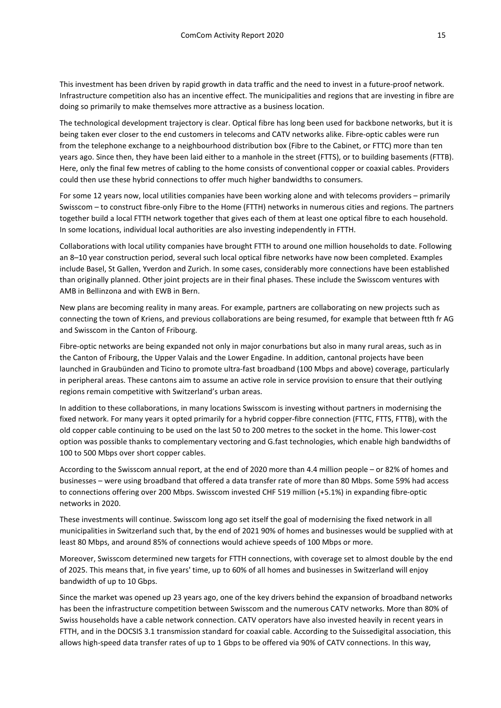This investment has been driven by rapid growth in data traffic and the need to invest in a future-proof network. Infrastructure competition also has an incentive effect. The municipalities and regions that are investing in fibre are doing so primarily to make themselves more attractive as a business location.

The technological development trajectory is clear. Optical fibre has long been used for backbone networks, but it is being taken ever closer to the end customers in telecoms and CATV networks alike. Fibre-optic cables were run from the telephone exchange to a neighbourhood distribution box (Fibre to the Cabinet, or FTTC) more than ten years ago. Since then, they have been laid either to a manhole in the street (FTTS), or to building basements (FTTB). Here, only the final few metres of cabling to the home consists of conventional copper or coaxial cables. Providers could then use these hybrid connections to offer much higher bandwidths to consumers.

For some 12 years now, local utilities companies have been working alone and with telecoms providers – primarily Swisscom – to construct fibre-only Fibre to the Home (FTTH) networks in numerous cities and regions. The partners together build a local FTTH network together that gives each of them at least one optical fibre to each household. In some locations, individual local authorities are also investing independently in FTTH.

Collaborations with local utility companies have brought FTTH to around one million households to date. Following an 8–10 year construction period, several such local optical fibre networks have now been completed. Examples include Basel, St Gallen, Yverdon and Zurich. In some cases, considerably more connections have been established than originally planned. Other joint projects are in their final phases. These include the Swisscom ventures with AMB in Bellinzona and with EWB in Bern.

New plans are becoming reality in many areas. For example, partners are collaborating on new projects such as connecting the town of Kriens, and previous collaborations are being resumed, for example that between ftth fr AG and Swisscom in the Canton of Fribourg.

Fibre-optic networks are being expanded not only in major conurbations but also in many rural areas, such as in the Canton of Fribourg, the Upper Valais and the Lower Engadine. In addition, cantonal projects have been launched in Graubünden and Ticino to promote ultra-fast broadband (100 Mbps and above) coverage, particularly in peripheral areas. These cantons aim to assume an active role in service provision to ensure that their outlying regions remain competitive with Switzerland's urban areas.

In addition to these collaborations, in many locations Swisscom is investing without partners in modernising the fixed network. For many years it opted primarily for a hybrid copper-fibre connection (FTTC, FTTS, FTTB), with the old copper cable continuing to be used on the last 50 to 200 metres to the socket in the home. This lower-cost option was possible thanks to complementary vectoring and G.fast technologies, which enable high bandwidths of 100 to 500 Mbps over short copper cables.

According to the Swisscom annual report, at the end of 2020 more than 4.4 million people – or 82% of homes and businesses – were using broadband that offered a data transfer rate of more than 80 Mbps. Some 59% had access to connections offering over 200 Mbps. Swisscom invested CHF 519 million (+5.1%) in expanding fibre-optic networks in 2020.

These investments will continue. Swisscom long ago set itself the goal of modernising the fixed network in all municipalities in Switzerland such that, by the end of 2021 90% of homes and businesses would be supplied with at least 80 Mbps, and around 85% of connections would achieve speeds of 100 Mbps or more.

Moreover, Swisscom determined new targets for FTTH connections, with coverage set to almost double by the end of 2025. This means that, in five years' time, up to 60% of all homes and businesses in Switzerland will enjoy bandwidth of up to 10 Gbps.

Since the market was opened up 23 years ago, one of the key drivers behind the expansion of broadband networks has been the infrastructure competition between Swisscom and the numerous CATV networks. More than 80% of Swiss households have a cable network connection. CATV operators have also invested heavily in recent years in FTTH, and in the DOCSIS 3.1 transmission standard for coaxial cable. According to the Suissedigital association, this allows high-speed data transfer rates of up to 1 Gbps to be offered via 90% of CATV connections. In this way,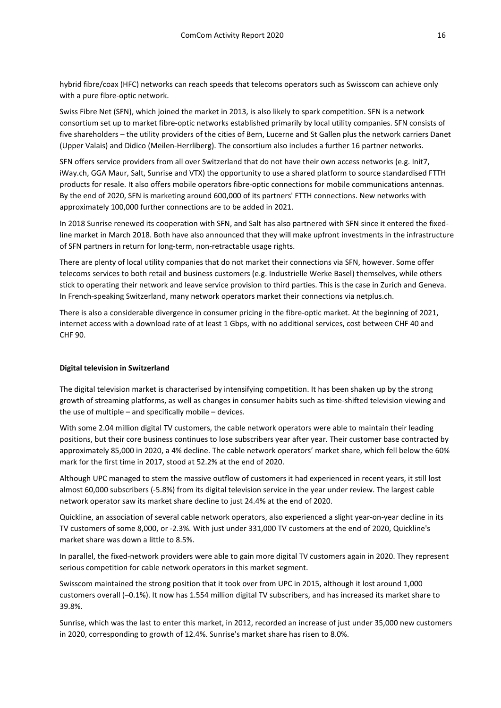hybrid fibre/coax (HFC) networks can reach speeds that telecoms operators such as Swisscom can achieve only with a pure fibre-optic network.

Swiss Fibre Net (SFN), which joined the market in 2013, is also likely to spark competition. SFN is a network consortium set up to market fibre-optic networks established primarily by local utility companies. SFN consists of five shareholders – the utility providers of the cities of Bern, Lucerne and St Gallen plus the network carriers Danet (Upper Valais) and Didico (Meilen-Herrliberg). The consortium also includes a further 16 partner networks.

SFN offers service providers from all over Switzerland that do not have their own access networks (e.g. Init7, iWay.ch, GGA Maur, Salt, Sunrise and VTX) the opportunity to use a shared platform to source standardised FTTH products for resale. It also offers mobile operators fibre-optic connections for mobile communications antennas. By the end of 2020, SFN is marketing around 600,000 of its partners' FTTH connections. New networks with approximately 100,000 further connections are to be added in 2021.

In 2018 Sunrise renewed its cooperation with SFN, and Salt has also partnered with SFN since it entered the fixedline market in March 2018. Both have also announced that they will make upfront investments in the infrastructure of SFN partners in return for long-term, non-retractable usage rights.

There are plenty of local utility companies that do not market their connections via SFN, however. Some offer telecoms services to both retail and business customers (e.g. Industrielle Werke Basel) themselves, while others stick to operating their network and leave service provision to third parties. This is the case in Zurich and Geneva. In French-speaking Switzerland, many network operators market their connections via netplus.ch.

There is also a considerable divergence in consumer pricing in the fibre-optic market. At the beginning of 2021, internet access with a download rate of at least 1 Gbps, with no additional services, cost between CHF 40 and CHF 90.

### **Digital television in Switzerland**

The digital television market is characterised by intensifying competition. It has been shaken up by the strong growth of streaming platforms, as well as changes in consumer habits such as time-shifted television viewing and the use of multiple – and specifically mobile – devices.

With some 2.04 million digital TV customers, the cable network operators were able to maintain their leading positions, but their core business continues to lose subscribers year after year. Their customer base contracted by approximately 85,000 in 2020, a 4% decline. The cable network operators' market share, which fell below the 60% mark for the first time in 2017, stood at 52.2% at the end of 2020.

Although UPC managed to stem the massive outflow of customers it had experienced in recent years, it still lost almost 60,000 subscribers (-5.8%) from its digital television service in the year under review. The largest cable network operator saw its market share decline to just 24.4% at the end of 2020.

Quickline, an association of several cable network operators, also experienced a slight year-on-year decline in its TV customers of some 8,000, or -2.3%. With just under 331,000 TV customers at the end of 2020, Quickline's market share was down a little to 8.5%.

In parallel, the fixed-network providers were able to gain more digital TV customers again in 2020. They represent serious competition for cable network operators in this market segment.

Swisscom maintained the strong position that it took over from UPC in 2015, although it lost around 1,000 customers overall (–0.1%). It now has 1.554 million digital TV subscribers, and has increased its market share to 39.8%.

Sunrise, which was the last to enter this market, in 2012, recorded an increase of just under 35,000 new customers in 2020, corresponding to growth of 12.4%. Sunrise's market share has risen to 8.0%.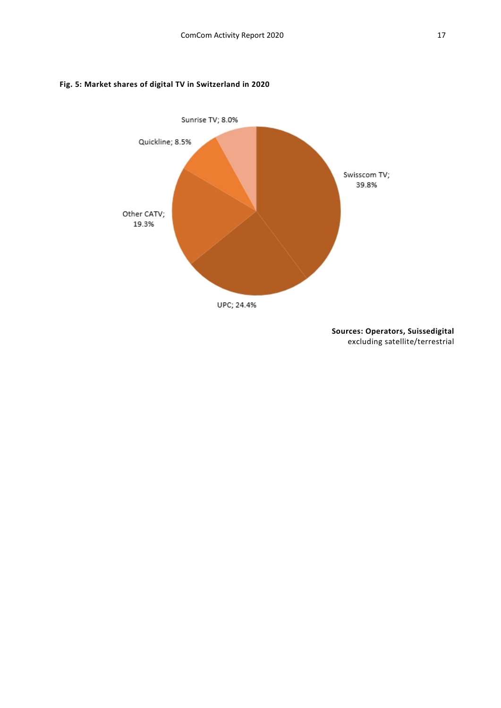### **Fig. 5: Market shares of digital TV in Switzerland in 2020**



**Sources: Operators, Suissedigital**  excluding satellite/terrestrial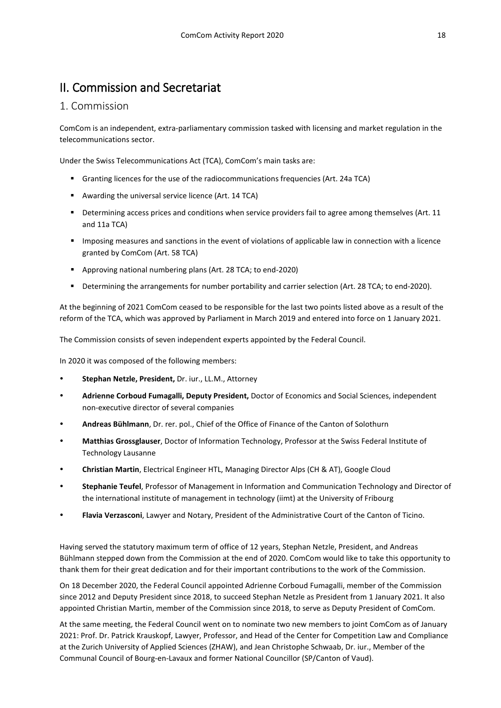# <span id="page-17-0"></span>II. Commission and Secretariat

### <span id="page-17-1"></span>1. Commission

ComCom is an independent, extra-parliamentary commission tasked with licensing and market regulation in the telecommunications sector.

Under the Swiss Telecommunications Act (TCA), ComCom's main tasks are:

- Granting licences for the use of the radiocommunications frequencies (Art. 24a TCA)
- Awarding the universal service licence (Art. 14 TCA)
- Determining access prices and conditions when service providers fail to agree among themselves (Art. 11 and 11a TCA)
- Imposing measures and sanctions in the event of violations of applicable law in connection with a licence granted by ComCom (Art. 58 TCA)
- Approving national numbering plans (Art. 28 TCA; to end-2020)
- Determining the arrangements for number portability and carrier selection (Art. 28 TCA; to end-2020).

At the beginning of 2021 ComCom ceased to be responsible for the last two points listed above as a result of the reform of the TCA, which was approved by Parliament in March 2019 and entered into force on 1 January 2021.

The Commission consists of seven independent experts appointed by the Federal Council.

In 2020 it was composed of the following members:

- **Stephan Netzle, President,** Dr. iur., LL.M., Attorney
- **Adrienne Corboud Fumagalli, Deputy President,** Doctor of Economics and Social Sciences, independent non-executive director of several companies
- **Andreas Bühlmann**, Dr. rer. pol., Chief of the Office of Finance of the Canton of Solothurn
- **Matthias Grossglauser**, Doctor of Information Technology, Professor at the Swiss Federal Institute of Technology Lausanne
- **Christian Martin**, Electrical Engineer HTL, Managing Director Alps (CH & AT), Google Cloud
- **Stephanie Teufel**, Professor of Management in Information and Communication Technology and Director of the international institute of management in technology (iimt) at the University of Fribourg
- **Flavia Verzasconi**, Lawyer and Notary, President of the Administrative Court of the Canton of Ticino.

Having served the statutory maximum term of office of 12 years, Stephan Netzle, President, and Andreas Bühlmann stepped down from the Commission at the end of 2020. ComCom would like to take this opportunity to thank them for their great dedication and for their important contributions to the work of the Commission.

On 18 December 2020, the Federal Council appointed Adrienne Corboud Fumagalli, member of the Commission since 2012 and Deputy President since 2018, to succeed Stephan Netzle as President from 1 January 2021. It also appointed Christian Martin, member of the Commission since 2018, to serve as Deputy President of ComCom.

At the same meeting, the Federal Council went on to nominate two new members to joint ComCom as of January 2021: Prof. Dr. Patrick Krauskopf, Lawyer, Professor, and Head of the Center for Competition Law and Compliance at the Zurich University of Applied Sciences (ZHAW), and Jean Christophe Schwaab, Dr. iur., Member of the Communal Council of Bourg-en-Lavaux and former National Councillor (SP/Canton of Vaud).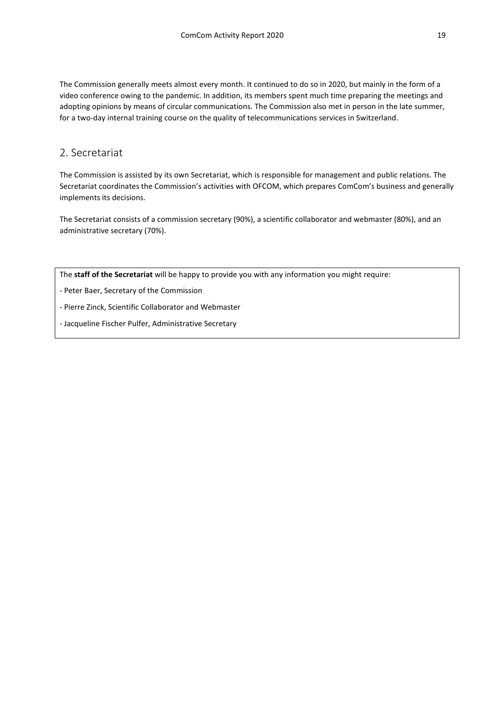The Commission generally meets almost every month. It continued to do so in 2020, but mainly in the form of a video conference owing to the pandemic. In addition, its members spent much time preparing the meetings and adopting opinions by means of circular communications. The Commission also met in person in the late summer, for a two-day internal training course on the quality of telecommunications services in Switzerland.

### <span id="page-18-0"></span>2. Secretariat

The Commission is assisted by its own Secretariat, which is responsible for management and public relations. The Secretariat coordinates the Commission's activities with OFCOM, which prepares ComCom's business and generally implements its decisions.

The Secretariat consists of a commission secretary (90%), a scientific collaborator and webmaster (80%), and an administrative secretary (70%).

The **staff of the Secretariat** will be happy to provide you with any information you might require:

- Peter Baer, Secretary of the Commission

- Pierre Zinck, Scientific Collaborator and Webmaster

- Jacqueline Fischer Pulfer, Administrative Secretary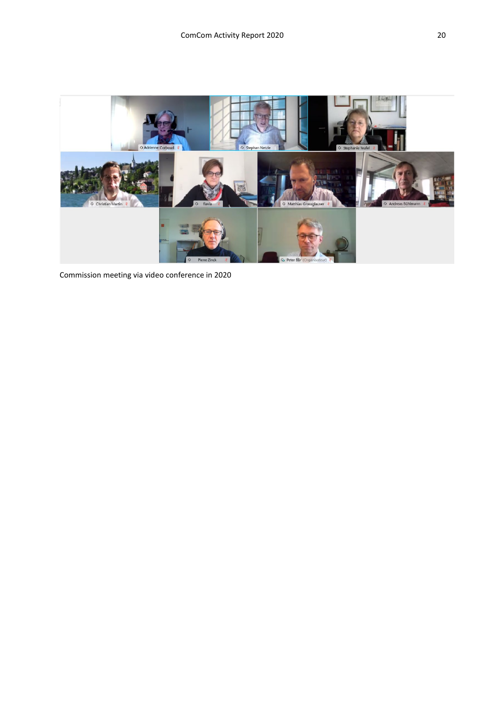

Commission meeting via video conference in 2020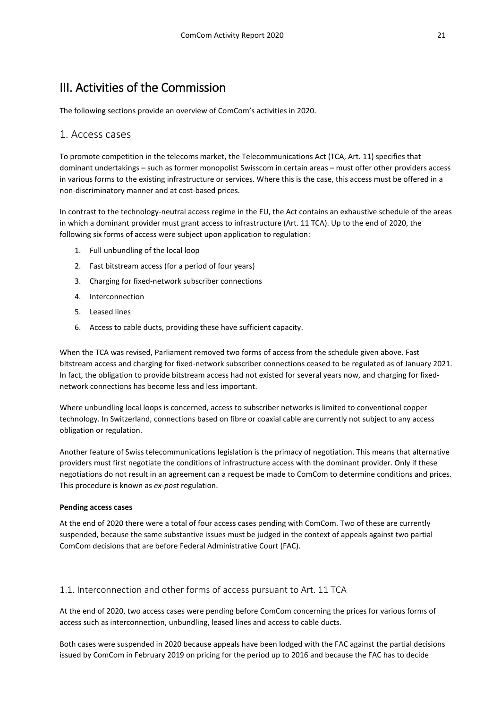# <span id="page-20-0"></span>III. Activities of the Commission

The following sections provide an overview of ComCom's activities in 2020.

### <span id="page-20-1"></span>1. Access cases

To promote competition in the telecoms market, the Telecommunications Act (TCA, Art. 11) specifies that dominant undertakings – such as former monopolist Swisscom in certain areas – must offer other providers access in various forms to the existing infrastructure or services. Where this is the case, this access must be offered in a non-discriminatory manner and at cost-based prices.

In contrast to the technology-neutral access regime in the EU, the Act contains an exhaustive schedule of the areas in which a dominant provider must grant access to infrastructure (Art. 11 TCA). Up to the end of 2020, the following six forms of access were subject upon application to regulation:

- 1. Full unbundling of the local loop
- 2. Fast bitstream access (for a period of four years)
- 3. Charging for fixed-network subscriber connections
- 4. Interconnection
- 5. Leased lines
- 6. Access to cable ducts, providing these have sufficient capacity.

When the TCA was revised, Parliament removed two forms of access from the schedule given above. Fast bitstream access and charging for fixed-network subscriber connections ceased to be regulated as of January 2021. In fact, the obligation to provide bitstream access had not existed for several years now, and charging for fixednetwork connections has become less and less important.

Where unbundling local loops is concerned, access to subscriber networks is limited to conventional copper technology. In Switzerland, connections based on fibre or coaxial cable are currently not subject to any access obligation or regulation.

Another feature of Swiss telecommunications legislation is the primacy of negotiation. This means that alternative providers must first negotiate the conditions of infrastructure access with the dominant provider. Only if these negotiations do not result in an agreement can a request be made to ComCom to determine conditions and prices. This procedure is known as *ex-post* regulation.

### **Pending access cases**

At the end of 2020 there were a total of four access cases pending with ComCom. Two of these are currently suspended, because the same substantive issues must be judged in the context of appeals against two partial ComCom decisions that are before Federal Administrative Court (FAC).

### <span id="page-20-2"></span>1.1. Interconnection and other forms of access pursuant to Art. 11 TCA

At the end of 2020, two access cases were pending before ComCom concerning the prices for various forms of access such as interconnection, unbundling, leased lines and access to cable ducts.

Both cases were suspended in 2020 because appeals have been lodged with the FAC against the partial decisions issued by ComCom in February 2019 on pricing for the period up to 2016 and because the FAC has to decide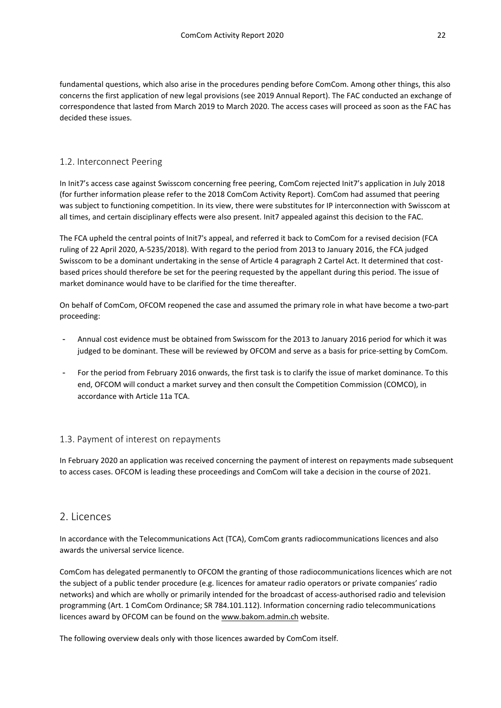fundamental questions, which also arise in the procedures pending before ComCom. Among other things, this also concerns the first application of new legal provisions (see 2019 Annual Report). The FAC conducted an exchange of correspondence that lasted from March 2019 to March 2020. The access cases will proceed as soon as the FAC has decided these issues.

### <span id="page-21-0"></span>1.2. Interconnect Peering

In Init7's access case against Swisscom concerning free peering, ComCom rejected Init7's application in July 2018 (for further information please refer to the 2018 ComCom Activity Report). ComCom had assumed that peering was subject to functioning competition. In its view, there were substitutes for IP interconnection with Swisscom at all times, and certain disciplinary effects were also present. Init7 appealed against this decision to the FAC.

The FCA upheld the central points of Init7's appeal, and referred it back to ComCom for a revised decision (FCA ruling of 22 April 2020, [A-5235/2018\)](http://links.weblaw.ch/BVGer-A-5235/2018). With regard to the period from 2013 to January 2016, the FCA judged Swisscom to be a dominant undertaking in the sense of Article 4 paragraph 2 Cartel Act. It determined that costbased prices should therefore be set for the peering requested by the appellant during this period. The issue of market dominance would have to be clarified for the time thereafter.

On behalf of ComCom, OFCOM reopened the case and assumed the primary role in what have become a two-part proceeding:

- Annual cost evidence must be obtained from Swisscom for the 2013 to January 2016 period for which it was judged to be dominant. These will be reviewed by OFCOM and serve as a basis for price-setting by ComCom.
- For the period from February 2016 onwards, the first task is to clarify the issue of market dominance. To this end, OFCOM will conduct a market survey and then consult the Competition Commission (COMCO), in accordance with Article 11a TCA.

### <span id="page-21-1"></span>1.3. Payment of interest on repayments

In February 2020 an application was received concerning the payment of interest on repayments made subsequent to access cases. OFCOM is leading these proceedings and ComCom will take a decision in the course of 2021.

### <span id="page-21-2"></span>2. Licences

In accordance with the Telecommunications Act (TCA), ComCom grants radiocommunications licences and also awards the universal service licence.

ComCom has delegated permanently to OFCOM the granting of those radiocommunications licences which are not the subject of a public tender procedure (e.g. licences for amateur radio operators or private companies' radio networks) and which are wholly or primarily intended for the broadcast of access-authorised radio and television programming (Art. 1 ComCom Ordinance; SR 784.101.112). Information concerning radio telecommunications licences award by OFCOM can be found on the [www.bakom.admin.ch](http://www.bakom.admin.ch/) website.

The following overview deals only with those licences awarded by ComCom itself.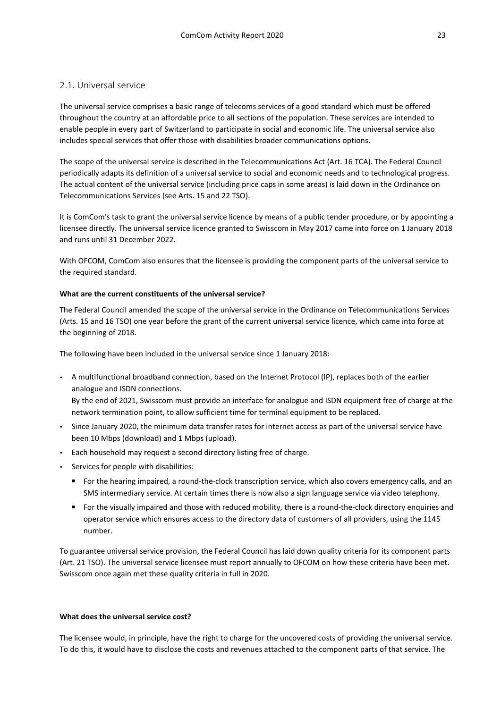### <span id="page-22-0"></span>2.1. Universal service

The universal service comprises a basic range of telecoms services of a good standard which must be offered throughout the country at an affordable price to all sections of the population. These services are intended to enable people in every part of Switzerland to participate in social and economic life. The universal service also includes special services that offer those with disabilities broader communications options.

The scope of the universal service is described in the Telecommunications Act (Art. 16 TCA). The Federal Council periodically adapts its definition of a universal service to social and economic needs and to technological progress. The actual content of the universal service (including price caps in some areas) is laid down in the Ordinance on Telecommunications Services (see Arts. 15 and 22 TSO).

It is ComCom's task to grant the universal service licence by means of a public tender procedure, or by appointing a licensee directly. The universal service licence granted to Swisscom in May 2017 came into force on 1 January 2018 and runs until 31 December 2022.

With OFCOM, ComCom also ensures that the licensee is providing the component parts of the universal service to the required standard.

### **What are the current constituents of the universal service?**

The Federal Council amended the scope of the universal service in the Ordinance on Telecommunications Services (Arts. 15 and 16 TSO) one year before the grant of the current universal service licence, which came into force at the beginning of 2018.

The following have been included in the universal service since 1 January 2018:

**-** A multifunctional broadband connection, based on the Internet Protocol (IP), replaces both of the earlier analogue and ISDN connections.

By the end of 2021, Swisscom must provide an interface for analogue and ISDN equipment free of charge at the network termination point, to allow sufficient time for terminal equipment to be replaced.

- **-** Since January 2020, the minimum data transfer rates for internet access as part of the universal service have been 10 Mbps (download) and 1 Mbps (upload).
- **-** Each household may request a second directory listing free of charge.
- **-** Services for people with disabilities:
	- For the hearing impaired, a round-the-clock transcription service, which also covers emergency calls, and an SMS intermediary service. At certain times there is now also a sign language service via video telephony.
	- For the visually impaired and those with reduced mobility, there is a round-the-clock directory enquiries and operator service which ensures access to the directory data of customers of all providers, using the 1145 number.

To guarantee universal service provision, the Federal Council has laid down quality criteria for its component parts (Art. 21 TSO). The universal service licensee must report annually to OFCOM on how these criteria have been met. Swisscom once again met these quality criteria in full in 2020.

#### **What does the universal service cost?**

The licensee would, in principle, have the right to charge for the uncovered costs of providing the universal service. To do this, it would have to disclose the costs and revenues attached to the component parts of that service. The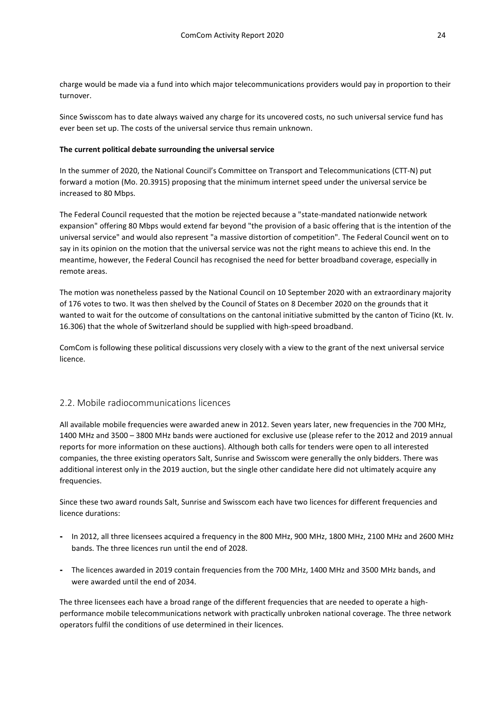charge would be made via a fund into which major telecommunications providers would pay in proportion to their turnover.

Since Swisscom has to date always waived any charge for its uncovered costs, no such universal service fund has ever been set up. The costs of the universal service thus remain unknown.

### **The current political debate surrounding the universal service**

In the summer of 2020, the National Council's Committee on Transport and Telecommunications (CTT-N) put forward a motion (Mo. 20.3915) proposing that the minimum internet speed under the universal service be increased to 80 Mbps.

The Federal Council requested that the motion be rejected because a "state-mandated nationwide network expansion" offering 80 Mbps would extend far beyond "the provision of a basic offering that is the intention of the universal service" and would also represent "a massive distortion of competition". The Federal Council went on to say in its opinion on the motion that the universal service was not the right means to achieve this end. In the meantime, however, the Federal Council has recognised the need for better broadband coverage, especially in remote areas.

The motion was nonetheless passed by the National Council on 10 September 2020 with an extraordinary majority of 176 votes to two. It was then shelved by the Council of States on 8 December 2020 on the grounds that it wanted to wait for the outcome of consultations on the cantonal initiative submitted by the canton of Ticino (Kt. Iv. 16.306) that the whole of Switzerland should be supplied with high-speed broadband.

ComCom is following these political discussions very closely with a view to the grant of the next universal service licence.

### <span id="page-23-0"></span>2.2. Mobile radiocommunications licences

All available mobile frequencies were awarded anew in 2012. Seven years later, new frequencies in the 700 MHz, 1400 MHz and 3500 – 3800 MHz bands were auctioned for exclusive use (please refer to the 2012 and 2019 annual reports for more information on these auctions). Although both calls for tenders were open to all interested companies, the three existing operators Salt, Sunrise and Swisscom were generally the only bidders. There was additional interest only in the 2019 auction, but the single other candidate here did not ultimately acquire any frequencies.

Since these two award rounds Salt, Sunrise and Swisscom each have two licences for different frequencies and licence durations:

- **-** In 2012, all three licensees acquired a frequency in the 800 MHz, 900 MHz, 1800 MHz, 2100 MHz and 2600 MHz bands. The three licences run until the end of 2028.
- **-** The licences awarded in 2019 contain frequencies from the 700 MHz, 1400 MHz and 3500 MHz bands, and were awarded until the end of 2034.

The three licensees each have a broad range of the different frequencies that are needed to operate a highperformance mobile telecommunications network with practically unbroken national coverage. The three network operators fulfil the conditions of use determined in their licences.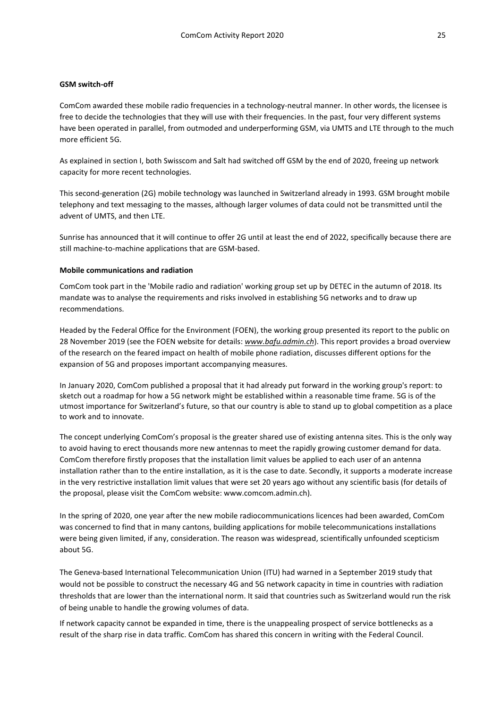### **GSM switch-off**

ComCom awarded these mobile radio frequencies in a technology-neutral manner. In other words, the licensee is free to decide the technologies that they will use with their frequencies. In the past, four very different systems have been operated in parallel, from outmoded and underperforming GSM, via UMTS and LTE through to the much more efficient 5G.

As explained in section I, both Swisscom and Salt had switched off GSM by the end of 2020, freeing up network capacity for more recent technologies.

This second-generation (2G) mobile technology was launched in Switzerland already in 1993. GSM brought mobile telephony and text messaging to the masses, although larger volumes of data could not be transmitted until the advent of UMTS, and then LTE.

Sunrise has announced that it will continue to offer 2G until at least the end of 2022, specifically because there are still machine-to-machine applications that are GSM-based.

### **Mobile communications and radiation**

ComCom took part in the 'Mobile radio and radiation' working group set up by DETEC in the autumn of 2018. Its mandate was to analyse the requirements and risks involved in establishing 5G networks and to draw up recommendations.

Headed by the Federal Office for the Environment (FOEN), the working group presented its report to the public on 28 November 2019 (see the FOEN website for details: *[www.bafu.admin.ch](http://www.bafu.admin.ch/)*). This report provides a broad overview of the research on the feared impact on health of mobile phone radiation, discusses different options for the expansion of 5G and proposes important accompanying measures.

In January 2020, ComCom published a proposal that it had already put forward in the working group's report: to sketch out a roadmap for how a 5G network might be established within a reasonable time frame. 5G is of the utmost importance for Switzerland's future, so that our country is able to stand up to global competition as a place to work and to innovate.

The concept underlying ComCom's proposal is the greater shared use of existing antenna sites. This is the only way to avoid having to erect thousands more new antennas to meet the rapidly growing customer demand for data. ComCom therefore firstly proposes that the installation limit values be applied to each user of an antenna installation rather than to the entire installation, as it is the case to date. Secondly, it supports a moderate increase in the very restrictive installation limit values that were set 20 years ago without any scientific basis (for details of the proposal, please visit the ComCom website: www.comcom.admin.ch).

In the spring of 2020, one year after the new mobile radiocommunications licences had been awarded, ComCom was concerned to find that in many cantons, building applications for mobile telecommunications installations were being given limited, if any, consideration. The reason was widespread, scientifically unfounded scepticism about 5G.

The Geneva-based International Telecommunication Union (ITU) had warned in a September 2019 study that would not be possible to construct the necessary 4G and 5G network capacity in time in countries with radiation thresholds that are lower than the international norm. It said that countries such as Switzerland would run the risk of being unable to handle the growing volumes of data.

If network capacity cannot be expanded in time, there is the unappealing prospect of service bottlenecks as a result of the sharp rise in data traffic. ComCom has shared this concern in writing with the Federal Council.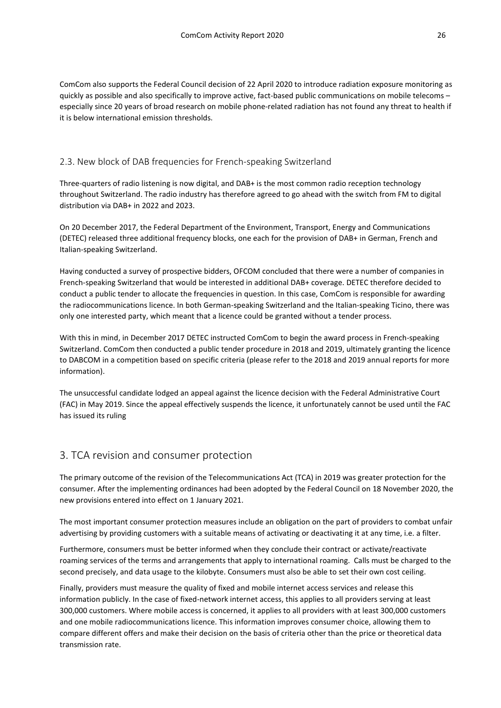ComCom also supports the Federal Council decision of 22 April 2020 to introduce radiation exposure monitoring as quickly as possible and also specifically to improve active, fact-based public communications on mobile telecoms – especially since 20 years of broad research on mobile phone-related radiation has not found any threat to health if it is below international emission thresholds.

### <span id="page-25-0"></span>2.3. New block of DAB frequencies for French-speaking Switzerland

Three-quarters of radio listening is now digital, and DAB+ is the most common radio reception technology throughout Switzerland. The radio industry has therefore agreed to go ahead with the switch from FM to digital distribution via DAB+ in 2022 and 2023.

On 20 December 2017, the Federal Department of the Environment, Transport, Energy and Communications (DETEC) released three additional frequency blocks, one each for the provision of DAB+ in German, French and Italian-speaking Switzerland.

Having conducted a survey of prospective bidders, OFCOM concluded that there were a number of companies in French-speaking Switzerland that would be interested in additional DAB+ coverage. DETEC therefore decided to conduct a public tender to allocate the frequencies in question. In this case, ComCom is responsible for awarding the radiocommunications licence. In both German-speaking Switzerland and the Italian-speaking Ticino, there was only one interested party, which meant that a licence could be granted without a tender process.

With this in mind, in December 2017 DETEC instructed ComCom to begin the award process in French-speaking Switzerland. ComCom then conducted a public tender procedure in 2018 and 2019, ultimately granting the licence to DABCOM in a competition based on specific criteria (please refer to the 2018 and 2019 annual reports for more information).

The unsuccessful candidate lodged an appeal against the licence decision with the Federal Administrative Court (FAC) in May 2019. Since the appeal effectively suspends the licence, it unfortunately cannot be used until the FAC has issued its ruling

### <span id="page-25-1"></span>3. TCA revision and consumer protection

The primary outcome of the revision of the Telecommunications Act (TCA) in 2019 was greater protection for the consumer. After the implementing ordinances had been adopted by the Federal Council on 18 November 2020, the new provisions entered into effect on 1 January 2021.

The most important consumer protection measures include an obligation on the part of providers to combat unfair advertising by providing customers with a suitable means of activating or deactivating it at any time, i.e. a filter.

Furthermore, consumers must be better informed when they conclude their contract or activate/reactivate roaming services of the terms and arrangements that apply to international roaming. Calls must be charged to the second precisely, and data usage to the kilobyte. Consumers must also be able to set their own cost ceiling.

Finally, providers must measure the quality of fixed and mobile internet access services and release this information publicly. In the case of fixed-network internet access, this applies to all providers serving at least 300,000 customers. Where mobile access is concerned, it applies to all providers with at least 300,000 customers and one mobile radiocommunications licence. This information improves consumer choice, allowing them to compare different offers and make their decision on the basis of criteria other than the price or theoretical data transmission rate.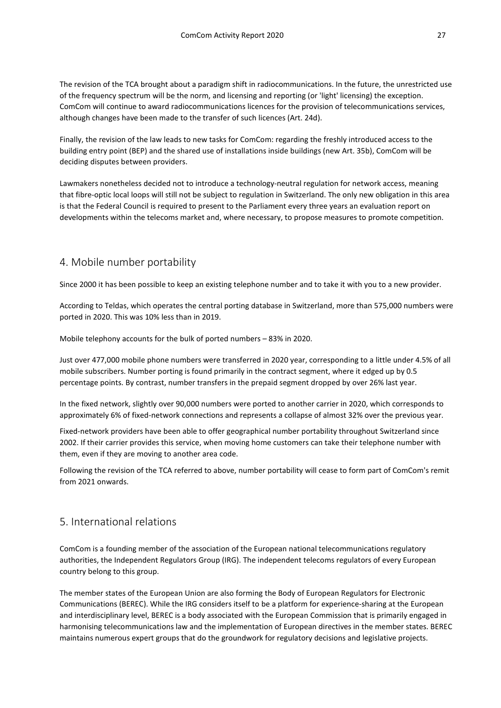The revision of the TCA brought about a paradigm shift in radiocommunications. In the future, the unrestricted use of the frequency spectrum will be the norm, and licensing and reporting (or 'light' licensing) the exception. ComCom will continue to award radiocommunications licences for the provision of telecommunications services, although changes have been made to the transfer of such licences (Art. 24d).

Finally, the revision of the law leads to new tasks for ComCom: regarding the freshly introduced access to the building entry point (BEP) and the shared use of installations inside buildings (new Art. 35b), ComCom will be deciding disputes between providers.

Lawmakers nonetheless decided not to introduce a technology-neutral regulation for network access, meaning that fibre-optic local loops will still not be subject to regulation in Switzerland. The only new obligation in this area is that the Federal Council is required to present to the Parliament every three years an evaluation report on developments within the telecoms market and, where necessary, to propose measures to promote competition.

### <span id="page-26-0"></span>4. Number porting

Since 2000 it has been possible to keep an existing telephone number and to take it with you to a new provider.

According to Teldas, which operates the central porting database in Switzerland, more than 575,000 numbers were ported in 2020. This was 10% less than in 2019.

Mobile telephony accounts for the bulk of ported numbers – 83% in 2020.

Just over 477,000 mobile phone numbers were transferred in 2020 year, corresponding to a little under 4.5% of all mobile subscribers. Number porting is found primarily in the contract segment, where it edged up by 0.5 percentage points. By contrast, number transfers in the prepaid segment dropped by over 26% last year.

In the fixed network, slightly over 90,000 numbers were ported to another carrier in 2020, which corresponds to approximately 6% of fixed-network connections and represents a collapse of almost 32% over the previous year.

Fixed-network providers have been able to offer geographical number portability throughout Switzerland since 2002. If their carrier provides this service, when moving home customers can take their telephone number with them, even if they are moving to another area code.

Following the revision of the TCA referred to above, number portability will cease to form part of ComCom's remit from 2021 onwards.

### <span id="page-26-1"></span>5. International relations

ComCom is a founding member of the association of the European national telecommunications regulatory authorities, the Independent Regulators Group (IRG). The independent telecoms regulators of every European country belong to this group.

The member states of the European Union are also forming the Body of European Regulators for Electronic Communications (BEREC). While the IRG considers itself to be a platform for experience-sharing at the European and interdisciplinary level, BEREC is a body associated with the European Commission that is primarily engaged in harmonising telecommunications law and the implementation of European directives in the member states. BEREC maintains numerous expert groups that do the groundwork for regulatory decisions and legislative projects.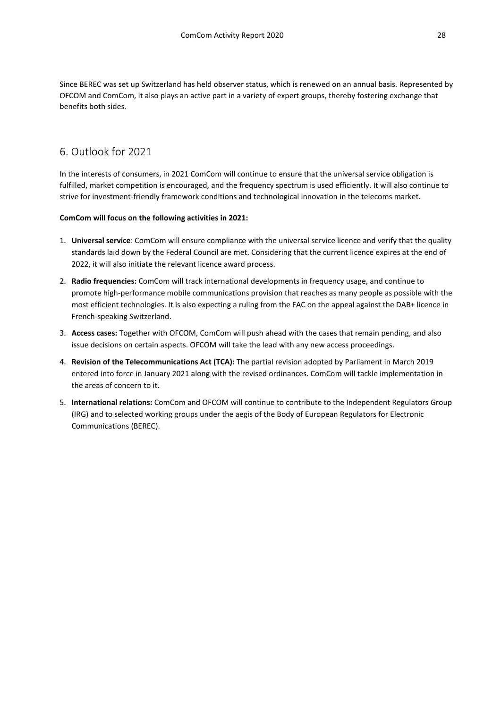Since BEREC was set up Switzerland has held observer status, which is renewed on an annual basis. Represented by OFCOM and ComCom, it also plays an active part in a variety of expert groups, thereby fostering exchange that benefits both sides.

### <span id="page-27-0"></span>6. Outlook for 2021

In the interests of consumers, in 2021 ComCom will continue to ensure that the universal service obligation is fulfilled, market competition is encouraged, and the frequency spectrum is used efficiently. It will also continue to strive for investment-friendly framework conditions and technological innovation in the telecoms market.

### **ComCom will focus on the following activities in 2021:**

- 1. **Universal service**: ComCom will ensure compliance with the universal service licence and verify that the quality standards laid down by the Federal Council are met. Considering that the current licence expires at the end of 2022, it will also initiate the relevant licence award process.
- 2. **Radio frequencies:** ComCom will track international developments in frequency usage, and continue to promote high-performance mobile communications provision that reaches as many people as possible with the most efficient technologies. It is also expecting a ruling from the FAC on the appeal against the DAB+ licence in French-speaking Switzerland.
- 3. **Access cases:** Together with OFCOM, ComCom will push ahead with the cases that remain pending, and also issue decisions on certain aspects. OFCOM will take the lead with any new access proceedings.
- 4. **Revision of the Telecommunications Act (TCA):** The partial revision adopted by Parliament in March 2019 entered into force in January 2021 along with the revised ordinances. ComCom will tackle implementation in the areas of concern to it.
- 5. **International relations:** ComCom and OFCOM will continue to contribute to the Independent Regulators Group (IRG) and to selected working groups under the aegis of the Body of European Regulators for Electronic Communications (BEREC).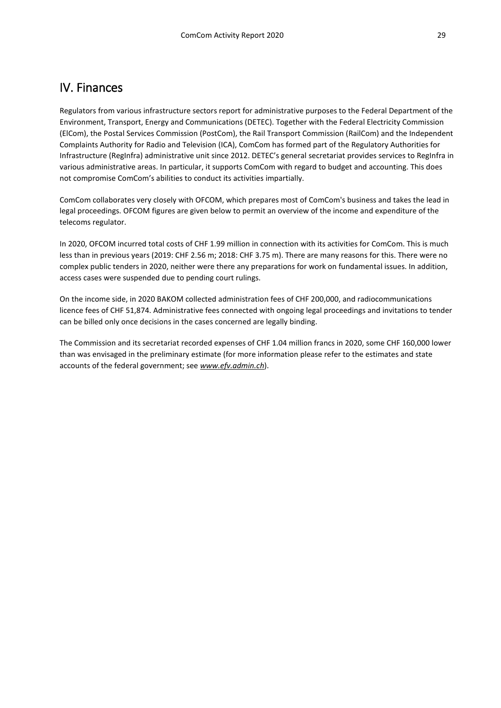# <span id="page-28-0"></span>IV. Finances

Regulators from various infrastructure sectors report for administrative purposes to the Federal Department of the Environment, Transport, Energy and Communications (DETEC). Together with the Federal Electricity Commission (ElCom), the Postal Services Commission (PostCom), the Rail Transport Commission (RailCom) and the Independent Complaints Authority for Radio and Television (ICA), ComCom has formed part of the Regulatory Authorities for Infrastructure (RegInfra) administrative unit since 2012. DETEC's general secretariat provides services to RegInfra in various administrative areas. In particular, it supports ComCom with regard to budget and accounting. This does not compromise ComCom's abilities to conduct its activities impartially.

ComCom collaborates very closely with OFCOM, which prepares most of ComCom's business and takes the lead in legal proceedings. OFCOM figures are given below to permit an overview of the income and expenditure of the telecoms regulator.

In 2020, OFCOM incurred total costs of CHF 1.99 million in connection with its activities for ComCom. This is much less than in previous years (2019: CHF 2.56 m; 2018: CHF 3.75 m). There are many reasons for this. There were no complex public tenders in 2020, neither were there any preparations for work on fundamental issues. In addition, access cases were suspended due to pending court rulings.

On the income side, in 2020 BAKOM collected administration fees of CHF 200,000, and radiocommunications licence fees of CHF 51,874. Administrative fees connected with ongoing legal proceedings and invitations to tender can be billed only once decisions in the cases concerned are legally binding.

The Commission and its secretariat recorded expenses of CHF 1.04 million francs in 2020, some CHF 160,000 lower than was envisaged in the preliminary estimate (for more information please refer to the estimates and state accounts of the federal government; see *www.efv.admin.ch*).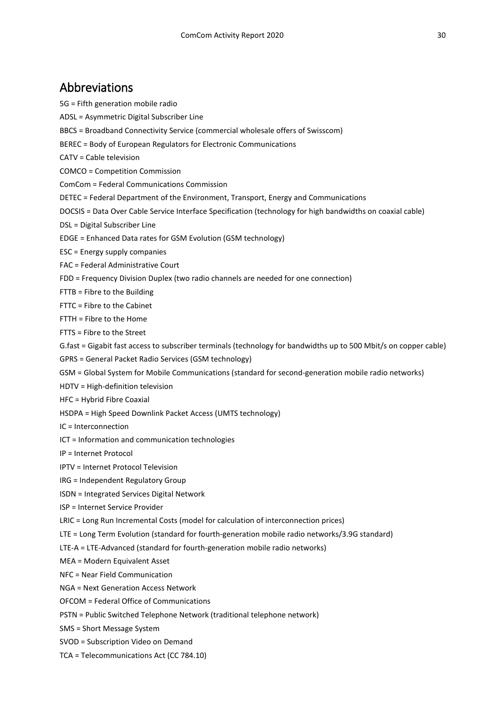# <span id="page-29-0"></span>Abbreviations

5G = Fifth generation mobile radio

- ADSL = Asymmetric Digital Subscriber Line
- BBCS = Broadband Connectivity Service (commercial wholesale offers of Swisscom)
- BEREC = Body of European Regulators for Electronic Communications
- CATV = Cable television
- COMCO = Competition Commission
- ComCom = Federal Communications Commission
- DETEC = Federal Department of the Environment, Transport, Energy and Communications
- DOCSIS = Data Over Cable Service Interface Specification (technology for high bandwidths on coaxial cable)
- DSL = Digital Subscriber Line
- EDGE = Enhanced Data rates for GSM Evolution (GSM technology)
- ESC = Energy supply companies
- FAC = Federal Administrative Court
- FDD = Frequency Division Duplex (two radio channels are needed for one connection)
- FTTB = Fibre to the Building
- FTTC = Fibre to the Cabinet
- FTTH = Fibre to the Home
- FTTS = Fibre to the Street
- G.fast = Gigabit fast access to subscriber terminals (technology for bandwidths up to 500 Mbit/s on copper cable)
- GPRS = General Packet Radio Services (GSM technology)
- GSM = Global System for Mobile Communications (standard for second-generation mobile radio networks)
- HDTV = High-definition television
- HFC = Hybrid Fibre Coaxial
- HSDPA = High Speed Downlink Packet Access (UMTS technology)
- IC = Interconnection
- ICT = Information and communication technologies
- IP = Internet Protocol
- IPTV = Internet Protocol Television
- IRG = Independent Regulatory Group
- ISDN = Integrated Services Digital Network
- ISP = Internet Service Provider
- LRIC = Long Run Incremental Costs (model for calculation of interconnection prices)
- LTE = Long Term Evolution (standard for fourth-generation mobile radio networks/3.9G standard)
- LTE-A = LTE-Advanced (standard for fourth-generation mobile radio networks)
- MEA = Modern Equivalent Asset
- NFC = Near Field Communication
- NGA = Next Generation Access Network
- OFCOM = Federal Office of Communications
- PSTN = Public Switched Telephone Network (traditional telephone network)
- SMS = Short Message System
- SVOD = Subscription Video on Demand
- TCA = Telecommunications Act (CC 784.10)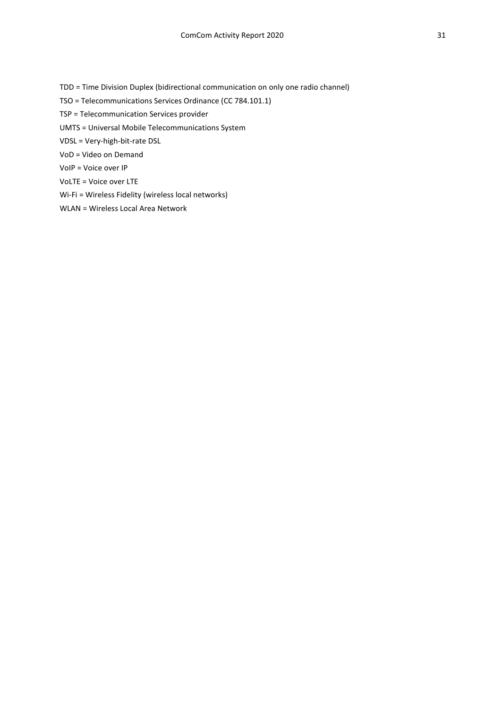TDD = Time Division Duplex (bidirectional communication on only one radio channel)

TSO = Telecommunications Services Ordinance (CC 784.101.1)

TSP = Telecommunication Services provider

UMTS = Universal Mobile Telecommunications System

VDSL = Very-high-bit-rate DSL

VoD = Video on Demand

VoIP = Voice over IP

VoLTE = Voice over LTE

Wi-Fi = Wireless Fidelity (wireless local networks)

WLAN = Wireless Local Area Network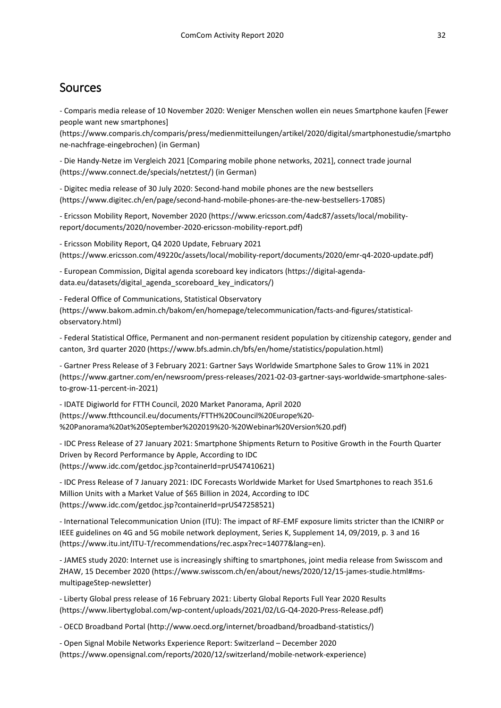# <span id="page-31-0"></span>Sources

- Comparis media release of 10 November 2020: Weniger Menschen wollen ein neues Smartphone kaufen [Fewer people want new smartphones]

[\(https://www.comparis.ch/comparis/press/medienmitteilungen/artikel/2020/digital/smartphonestudie/smartpho](https://www.comparis.ch/comparis/press/medienmitteilungen/artikel/2020/digital/smartphonestudie/smartphone-nachfrage-eingebrochen) [ne-nachfrage-eingebrochen\)](https://www.comparis.ch/comparis/press/medienmitteilungen/artikel/2020/digital/smartphonestudie/smartphone-nachfrage-eingebrochen) (in German)

- Die Handy-Netze im Vergleich 2021 [Comparing mobile phone networks, 2021], connect trade journal (https://www.connect.de/specials/netztest/) (in German)

- Digitec media release of 30 July 2020: Second-hand mobile phones are the new bestsellers (https://www.digitec.ch/en/page/second-hand-mobile-phones-are-the-new-bestsellers-17085)

- Ericsson Mobility Report, November 2020 [\(https://www.ericsson.com/4adc87/assets/local/mobility](https://www.ericsson.com/4adc87/assets/local/mobility-report/documents/2020/november-2020-ericsson-mobility-report.pdf)[report/documents/2020/november-2020-ericsson-mobility-report.pdf\)](https://www.ericsson.com/4adc87/assets/local/mobility-report/documents/2020/november-2020-ericsson-mobility-report.pdf)

- Ericsson Mobility Report, Q4 2020 Update, February 2021 (https://www.ericsson.com/49220c/assets/local/mobility-report/documents/2020/emr-q4-2020-update.pdf)

- European Commission, Digital agenda scoreboard key indicators (https://digital-agendadata.eu/datasets/digital\_agenda\_scoreboard\_key\_indicators/)

- Federal Office of Communications, Statistical Observatory (https://www.bakom.admin.ch/bakom/en/homepage/telecommunication/facts-and-figures/statisticalobservatory.html)

- Federal Statistical Office, Permanent and non-permanent resident population by citizenship category, gender and canton, 3rd quarter 2020 (https://www.bfs.admin.ch/bfs/en/home/statistics/population.html)

- Gartner Press Release of 3 February 2021: Gartner Says Worldwide Smartphone Sales to Grow 11% in 2021 (https://www.gartner.com/en/newsroom/press-releases/2021-02-03-gartner-says-worldwide-smartphone-salesto-grow-11-percent-in-2021)

- IDATE Digiworld for FTTH Council, 2020 Market Panorama, April 2020 (https://www.ftthcouncil.eu/documents/FTTH%20Council%20Europe%20- %20Panorama%20at%20September%202019%20-%20Webinar%20Version%20.pdf)

- IDC Press Release of 27 January 2021: Smartphone Shipments Return to Positive Growth in the Fourth Quarter Driven by Record Performance by Apple, According to IDC (https://www.idc.com/getdoc.jsp?containerId=prUS47410621)

- IDC Press Release of 7 January 2021: IDC Forecasts Worldwide Market for Used Smartphones to reach 351.6 Million Units with a Market Value of \$65 Billion in 2024, According to IDC (https://www.idc.com/getdoc.jsp?containerId=prUS47258521)

- International Telecommunication Union (ITU): The impact of RF-EMF exposure limits stricter than the ICNIRP or IEEE guidelines on 4G and 5G mobile network deployment, Series K, Supplement 14, 09/2019, p. 3 and 16 (https://www.itu.int/ITU-T/recommendations/rec.aspx?rec=14077&lang=en).

- JAMES study 2020: Internet use is increasingly shifting to smartphones, joint media release from Swisscom and ZHAW, 15 December 2020 (https://www.swisscom.ch/en/about/news/2020/12/15-james-studie.html#msmultipageStep-newsletter)

- Liberty Global press release of 16 February 2021: Liberty Global Reports Full Year 2020 Results (https://www.libertyglobal.com/wp-content/uploads/2021/02/LG-Q4-2020-Press-Release.pdf)

- OECD Broadband Portal (http://www.oecd.org/internet/broadband/broadband-statistics/)

- Open Signal Mobile Networks Experience Report: Switzerland – December 2020 [\(https://www.opensignal.com/reports/2020/12/switzerland/mobile-network-experience\)](https://www.opensignal.com/reports/2020/12/switzerland/mobile-network-experience)